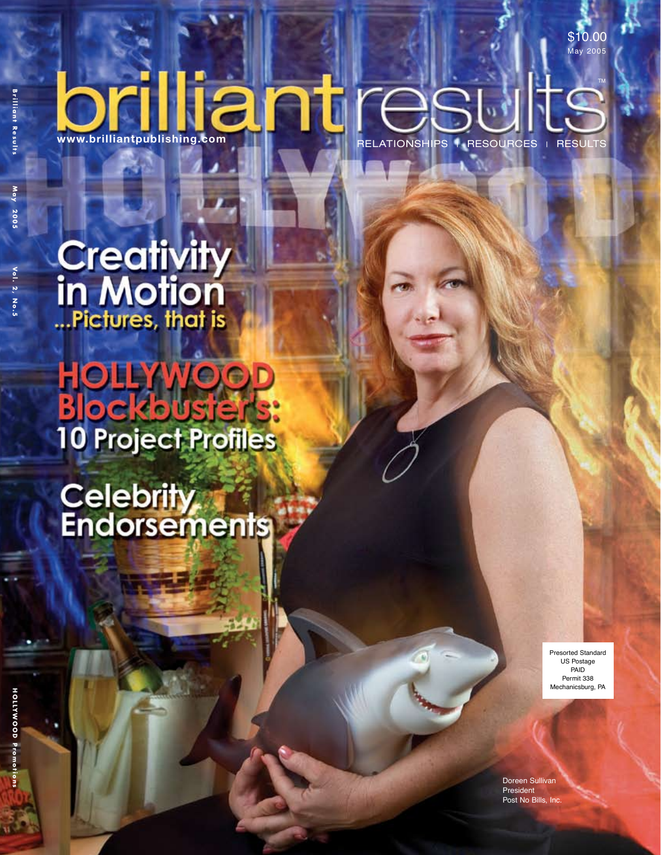**Vo l . 2 , N o . 5**

**B**

# brilliantpublishing.com

TM RELATIONSHIPS | RESOURCES | RESULTS

\$10.00

May 2005

**Creativity**<br>in Motion<br>*In Motion* 

**Blockbu 10 Project Profiles** 

Celebrity<br>Endorsements

Presorted Standard US Postage PAID Permit 338 Mechanicsburg, PA

Doreen Sullivan President Post No Bills, Inc.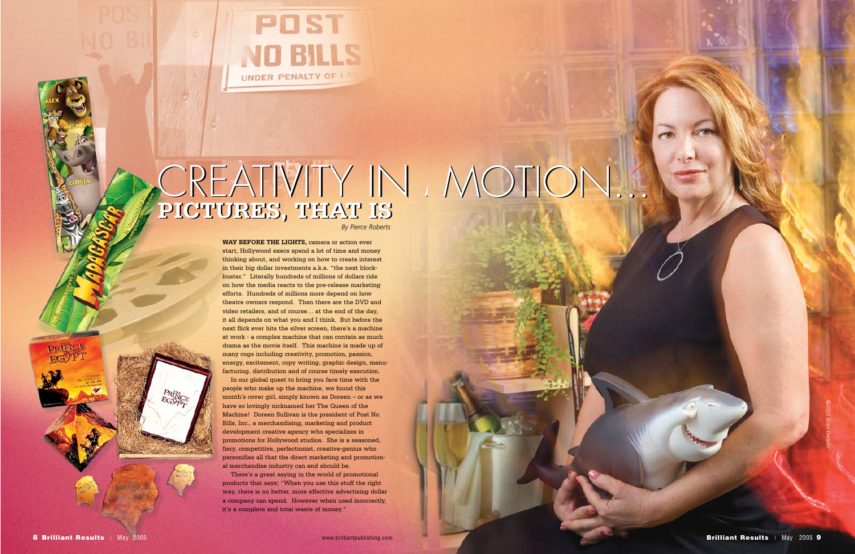RINCE

**WAY BEFORE THE LIGHTS,** camera or action ever start, Hollywood execs spend a lot of time and money thinking about, and working on how to create interest in their big dollar investments a.k.a. "the next blockbuster." Literally hundreds of millions of dollars ride on how the media reacts to the pre-release marketing efforts. Hundreds of millions more depend on how theatre owners respond. Then there are the DVD and video retailers, and of course… at the end of the day, it all depends on what you and I think. But before the next flick ever hits the silver screen, there's a machine at work - a complex machine that can contain as much drama as the movie itself. This machine is made up of many cogs including creativity, promotion, passion, energy, excitement, copy writing, graphic design, manufacturing, distribution and of course timely execution.

In our global quest to bring you face time with the people who make up the machine, we found this month's cover girl, simply known as Doreen – or as we have so lovingly nicknamed her The Queen of the Machine! Doreen Sullivan is the president of Post No Bills, Inc., a merchandising, marketing and product development creative agency who specializes in promotions for Hollywood studios. She is a seasoned, fiery, competitive, perfectionist, creative-genius who personifies all that the direct marketing and promotional merchandise industry can and should be.

There's a great saying in the world of promotional products that says; "When you use this stuff the right way, there is no better, more effective advertising dollar a company can spend. However when used incorrectly, it's a complete and total waste of money."



### **PICTURES, THAT IS** CREATIVITY IN A **PICTURES, THAT IS** CREATIVITY IN MOTION... *By Pierce Roberts*

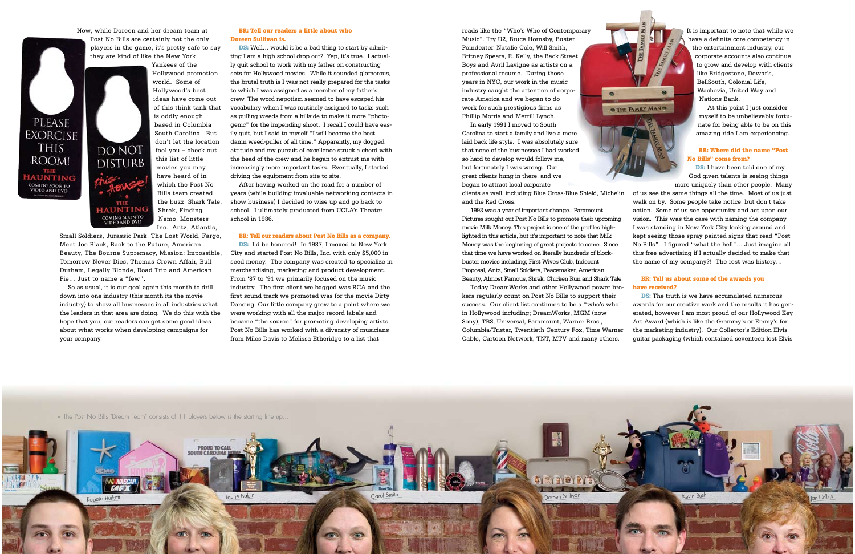Now, while Doreen and her dream team at

Post No Bills are certainly not the only players in the game, it's pretty safe to say they are kind of like the New York

## **DO NOT DISTURB IAUNTING** COMING SOON TO<br>VIDEO AND DVD

PLEASE **EXORCISE THIS** 

ROOM!

THE **IAUNTING COMING SOON TO**<br>VIDEO AND DVD

Yankees of the Hollywood promotion world. Some of Hollywood's best ideas have come out of this think tank that is oddly enough based in Columbia South Carolina. But don't let the location fool you – check out this list of little movies you may have heard of in which the Post No Bills team created the buzz: Shark Tale, Shrek, Finding Nemo, Monsters

Inc., Antz, Atlantis,

Small Soldiers, Jurassic Park, The Lost World, Fargo, Meet Joe Black, Back to the Future, American Beauty, The Bourne Supremacy, Mission: Impossible, Tomorrow Never Dies, Thomas Crown Affair, Bull Durham, Legally Blonde, Road Trip and American Pie… Just to name a "few".

So as usual, it is our goal again this month to drill down into one industry (this month its the movie industry) to show all businesses in all industries what the leaders in that area are doing. We do this with the hope that you, our readers can get some good ideas about what works when developing campaigns for your company.

DS: Well... would it be a bad thing to start by admitting I am a high school drop out? Yep, it's true. I actually quit school to work with my father on constructing sets for Hollywood movies. While it sounded glamorous, the brutal truth is I was not really prepared for the tasks to which I was assigned as a member of my father's crew. The word nepotism seemed to have escaped his vocabulary when I was routinely assigned to tasks such as pulling weeds from a hillside to make it more "photogenic" for the impending shoot. I recall I could have easily quit, but I said to myself "I will become the best damn weed-puller of all time." Apparently, my dogged attitude and my pursuit of excellence struck a chord with the head of the crew and he began to entrust me with increasingly more important tasks. Eventually, I started driving the equipment from site to site.

### BR: Tell our readers a little about who Doreen Sullivan is.

DS: I'd be honored! In 1987, I moved to New York City and started Post No Bills, Inc. with only \$5,000 in seed money. The company was created to specialize in merchandising, marketing and product development. From '87 to '91 we primarily focused on the music industry. The first client we bagged was RCA and the first sound track we promoted was for the movie Dirty Dancing. Our little company grew to a point where we were working with all the major record labels and became "the source" for promoting developing artists. Post No Bills has worked with a diversity of musicians from Miles Davis to Melissa Etheridge to a list that

After having worked on the road for a number of years (while building invaluable networking contacts in show business) I decided to wise up and go back to school. I ultimately graduated from UCLA's Theater school in 1986.

#### BR: Tell our readers about Post No Bills as a company.

DS: I have been told one of my God given talents is seeing things more uniquely than other people. Many of us see the same things all the time. Most of us just walk on by. Some people take notice, but don't take action. Some of us see opportunity and act upon our vision. This was the case with naming the company. I was standing in New York City looking around and kept seeing those spray painted signs that read "Post No Bills". I figured "what the hell"… Just imagine all this free advertising if I actually decided to make that the name of my company?! The rest was history…

**DS:** The truth is we have accumulated numerous awards for our creative work and the results it has generated, however I am most proud of our Hollywood Key Art Award (which is like the Grammy's or Emmy's for the marketing industry). Our Collector's Edition Elvis guitar packaging (which contained seventeen lost Elvis

reads like the "Who's Who of Contemporary Music". Try U2, Bruce Hornsby, Buster Poindexter, Natalie Cole, Will Smith, Britney Spears, R. Kelly, the Back Street Boys and Avril Lavigne as artists on a professional resume. During those years in NYC, our work in the music industry caught the attention of corporate America and we began to do work for such prestigious firms as Phillip Morris and Merrill Lynch.

In early 1991 I moved to South Carolina to start a family and live a more laid back life style. I was absolutely sure that none of the businesses I had worked so hard to develop would follow me, but fortunately I was wrong. Our great clients hung in there, and we began to attract local corporate

clients as well, including Blue Cross-Blue Shield, Michelin and the Red Cross.

 $\bullet$ 

**O THE FAMILY MANO** 

1993 was a year of important change. Paramount Pictures sought out Post No Bills to promote their upcoming movie Milk Money. This project is one of the profiles highlighted in this article, but it's important to note that Milk Money was the beginning of great projects to come. Since that time we have worked on literally hundreds of blockbuster movies including; First Wives Club, Indecent Proposal, Antz, Small Soldiers, Peacemaker, American Beauty, Almost Famous, Shrek, Chicken Run and Shark Tale.

Today DreamWorks and other Hollywood power brokers regularly count on Post No Bills to support their success. Our client list continues to be a "who's who" in Hollywood including; DreamWorks, MGM (now Sony), TBS, Universal, Paramount, Warner Bros., Columbia/Tristar, Twentieth Century Fox, Time Warner Cable, Cartoon Network, TNT, MTV and many others.



It is important to note that while we have a definite core competency in the entertainment industry, our corporate accounts also continue to grow and develop with clients like Bridgestone, Dewar's, BellSouth, Colonial Life, Wachovia, United Way and Nations Bank.

At this point I just consider myself to be unbelievably fortunate for being able to be on this amazing ride I am experiencing.

### BR: Where did the name "Post No Bills" come from?

### BR: Tell us about some of the awards you have received?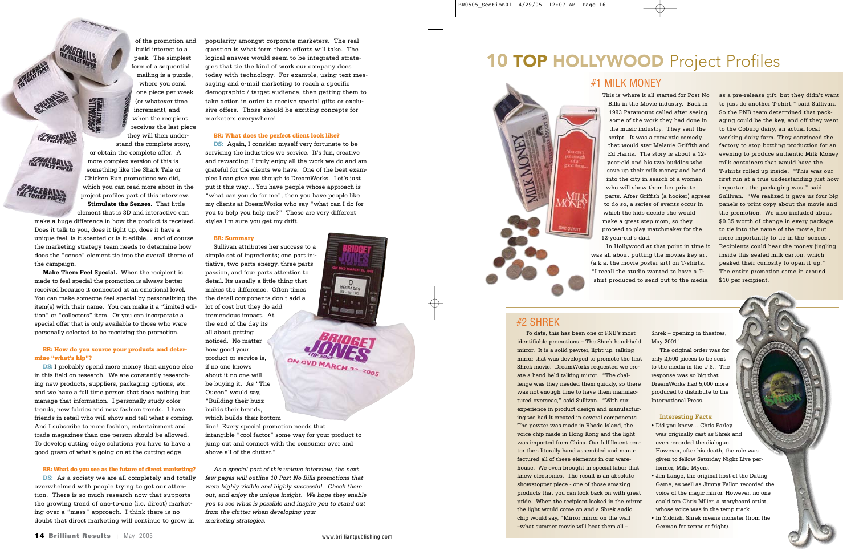$\underset{_{\text{03}\rightarrow\text{02}\rightarrow\text{00}}}{\bigcirc}$ 

**BY DESIGNATION** 

of the promotion and build interest to a peak. The simplest form of a sequential

mailing is a puzzle, where you send one piece per week **SPAGEBALLS** (or whatever time increment), and when the recipient receives the last piece they will then understand the complete story, or obtain the complete offer. A more complex version of this is something like the Shark Tale or Chicken Run promotions we did, which you can read more about in the

**FRAGEBALLS** 

**FINETOILET ALLS** 

*SPAGEBALLS* 

project profiles part of this interview. **Stimulate the Senses.** That little

element that is 3D and interactive can make a huge difference in how the product is received. Does it talk to you, does it light up, does it have a unique feel, is it scented or is it edible… and of course the marketing strategy team needs to determine how does the "sense" element tie into the overall theme of the campaign.

**DS:** I probably spend more money than anyone else in this field on research. We are constantly researching new products, suppliers, packaging options, etc., and we have a full time person that does nothing but manage that information. I personally study color trends, new fabrics and new fashion trends. I have friends in retail who will show and tell what's coming. And I subscribe to more fashion, entertainment and trade magazines than one person should be allowed. To develop cutting edge solutions you have to have a good grasp of what's going on at the cutting edge.

**Make Them Feel Special.** When the recipient is made to feel special the promotion is always better received because it connected at an emotional level. You can make someone feel special by personalizing the item(s) with their name. You can make it a "limited edition" or "collectors" item. Or you can incorporate a special offer that is only available to those who were personally selected to be receiving the promotion.

**DS:** As a society we are all completely and totally overwhelmed with people trying to get our attention. There is so much research now that supports the growing trend of one-to-one (i.e. direct) marketing over a "mass" approach. I think there is no doubt that direct marketing will continue to grow in

### BR: How do you source your products and determine "what's hip"?

**DS:** Again, I consider myself very fortunate to be servicing the industries we service. It's fun, creative and rewarding. I truly enjoy all the work we do and am grateful for the clients we have. One of the best examples I can give you though is DreamWorks. Let's just put it this way… You have people whose approach is "what can you do for me", then you have people like my clients at DreamWorks who say "what can I do for you to help you help me?" These are very different styles I'm sure you get my drift.

#### BR: What do you see as the future of direct marketing?

popularity amongst corporate marketers. The real question is what form those efforts will take. The logical answer would seem to be integrated strategies that tie the kind of work our company does today with technology. For example, using text messaging and e-mail marketing to reach a specific demographic / target audience, then getting them to take action in order to receive special gifts or exclusive offers. Those should be exciting concepts for marketers everywhere!

### BR: What does the perfect client look like?

#### BR: Summary

Sullivan attributes her success to a simple set of ingredients; one part initiative, two parts energy, three parts passion, and four parts attention to detail. Its usually a little thing that makes the difference. Often times the detail components don't add a lot of cost but they do add tremendous impact. At the end of the day its all about getting noticed. No matter how good your ON OVD MARCH 22 2005 product or service is, if no one knows about it no one will be buying it. As "The Queen" would say, "Building their buzz builds their brands, which builds their bottom line! Every special promotion needs that

intangible "cool factor" some way for your product to jump out and connect with the consumer over and above all of the clutter."

*As a special part of this unique interview, the next few pages will outline 10 Post No Bills promotions that were highly visible and highly successful. Check them out, and enjoy the unique insight. We hope they enable you to see what is possible and inspire you to stand out from the clutter when developing your marketing strategies.*

### **10 TOP HOLLYWOOD** Project Profiles

This is where it all started for Post No Bills in the Movie industry. Back in 1993 Paramount called after seeing some of the work they had done in the music industry. They sent the script. It was a romantic comedy that would star Melanie Griffith and Ed Harris. The story is about a 12 year-old and his two buddies who save up their milk money and head into the city in search of a woman who will show them her private parts. After Griffith (a hooker) agrees to do so, a series of events occur in which the kids decide she would make a great step mom, so they proceed to play matchmaker for the 12-year-old's dad.

In Hollywood at that point in time it was all about putting the movies key art (a.k.a. the movie poster art) on T-shirts. "I recall the studio wanted to have a Tshirt produced to send out to the media

as a pre-release gift, but they didn't want to just do another T-shirt," said Sullivan. So the PNB team determined that packaging could be the key, and off they went to the Coburg dairy, an actual local working dairy farm. They convinced the factory to stop bottling production for an evening to produce authentic Milk Money milk containers that would have the T-shirts rolled up inside. "This was our first run at a true understanding just how important the packaging was," said Sullivan. "We realized it gave us four big panels to print copy about the movie and the promotion. We also included about \$0.35 worth of change in every package to tie into the name of the movie, but more importantly to tie in the 'senses'. Recipients could hear the money jingling inside this sealed milk carton, which peaked their curiosity to open it up." The entire promotion came in around \$10 per recipient.

To date, this has been one of PNB's most identifiable promotions – The Shrek hand-held mirror. It is a solid pewter, light up, talking mirror that was developed to promote the first Shrek movie. DreamWorks requested we create a hand held talking mirror. "The challenge was they needed them quickly, so there was not enough time to have them manufactured overseas," said Sullivan. "With our experience in product design and manufacturing we had it created in several components. The pewter was made in Rhode Island, the voice chip made in Hong Kong and the light was imported from China. Our fulfillment center then literally hand assembled and manufactured all of these elements in our warehouse. We even brought in special labor that knew electronics. The result is an absolute showstopper piece - one of those amazing products that you can look back on with great pride. When the recipient looked in the mirror the light would come on and a Shrek audio chip would say, "Mirror mirror on the wall –what summer movie will beat them all –

Shrek – opening in theatres, May 2001".

The original order was for only 2,500 pieces to be sent to the media in the U.S.. The response was so big that DreamWorks had 5,000 more produced to distribute to the International Press.

### **Interesting Facts:**

- Did you know… Chris Farley was originally cast as Shrek and even recorded the dialogue. However, after his death, the role was given to fellow Saturday Night Live performer, Mike Myers.
- Jim Lange, the original host of the Dating Game, as well as Jimmy Fallon recorded the voice of the magic mirror. However, no one could top Chris Miller, a storyboard artist, whose voice was in the temp track.
- In Yiddish, Shrek means monster (from the German for terror or fright).

### #1 MILK MONEY



### #2 SHREK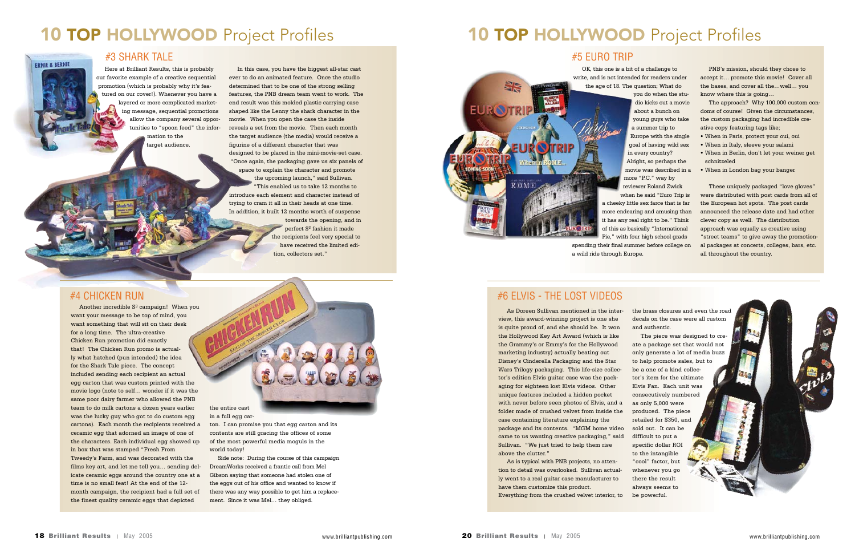Here at Brilliant Results, this is probably our favorite example of a creative sequential promotion (which is probably why it's featured on our cover!). Whenever you have a layered or more complicated marketing message, sequential promotions allow the company several opportunities to "spoon feed" the information to the target audience.

In this case, you have the biggest all-star cast ever to do an animated feature. Once the studio determined that to be one of the strong selling features, the PNB dream team went to work. The end result was this molded plastic carrying case shaped like the Lenny the shark character in the movie. When you open the case the inside reveals a set from the movie. Then each month the target audience (the media) would receive a figurine of a different character that was designed to be placed in the mini-movie-set case. "Once again, the packaging gave us six panels of space to explain the character and promote the upcoming launch," said Sullivan. "This enabled us to take 12 months to introduce each element and character instead of trying to cram it all in their heads at one time. In addition, it built 12 months worth of suspense

Another incredible S<sup>3</sup> campaign! When you want your message to be top of mind, you want something that will sit on their desk for a long time. The ultra-creative Chicken Run promotion did exactly that! The Chicken Run promo is actually what hatched (pun intended) the idea for the Shark Tale piece. The concept included sending each recipient an actual egg carton that was custom printed with the movie logo (note to self… wonder if it was the same poor dairy farmer who allowed the PNB team to do milk cartons a dozen years earlier was the lucky guy who got to do custom egg cartons). Each month the recipients received a ceramic egg that adorned an image of one of the characters. Each individual egg showed up in box that was stamped "Fresh From Tweedy's Farm, and was decorated with the films key art, and let me tell you… sending delicate ceramic eggs around the country one at a time is no small feat! At the end of the 12 month campaign, the recipient had a full set of the finest quality ceramic eggs that depicted

towards the opening, and in perfect S3 fashion it made the recipients feel very special to have received the limited edition, collectors set."

222

### **#4 CHICKEN RUN**

the entire cast in a full egg car-

ton. I can promise you that egg carton and its contents are still gracing the offices of some of the most powerful media moguls in the world today!

Side note: During the course of this campaign DreamWorks received a frantic call from Mel Gibson saying that someone had stolen one of the eggs out of his office and wanted to know if there was any way possible to get him a replacement. Since it was Mel… they obliged.

### **10 TOP HOLLYWOOD** Project Profiles

### **10 TOP HOLLYWOOD** Project Profiles

### #3 SHARK TALE

**ERNIE & BERNIE** 

OK, this one is a bit of a challenge to write, and is not intended for readers under the age of 18. The question; What do

you do when the studio kicks out a movie about a bunch on young guys who take a summer trip to Europe with the single goal of having wild sex in every country? Alright, so perhaps the movie was described in a more "P.C." way by reviewer Roland Zwick when he said "Euro Trip is a cheeky little sex farce that is far more endearing and amusing than it has any real right to be." Think of this as basically "International Pie," with four high school grads spending their final summer before college on

a wild ride through Europe.

PNB's mission, should they chose to accept it… promote this movie! Cover all the bases, and cover all the…well… you know where this is going…

The approach? Why 100,000 custom condoms of course! Given the circumstances, the custom packaging had incredible creative copy featuring tags like;

- When in Paris, protect your oui, oui
- When in Italy, sleeve your salami
- When in Berlin, don't let your weiner get schnitzeled
- When in London bag your banger

These uniquely packaged "love gloves" were distributed with post cards from all of the European hot spots. The post cards announced the release date and had other clever copy as well. The distribution approach was equally as creative using "street teams" to give away the promotional packages at concerts, colleges, bars, etc. all throughout the country.

As Doreen Sullivan mentioned in the interview, this award-winning project is one she is quite proud of, and she should be. It won the Hollywood Key Art Award (which is like the Grammy's or Emmy's for the Hollywood marketing industry) actually beating out Disney's Cinderella Packaging and the Star Wars Trilogy packaging. This life-size collector's edition Elvis guitar case was the packaging for eighteen lost Elvis videos. Other unique features included a hidden pocket with never before seen photos of Elvis, and a folder made of crushed velvet from inside the case containing literature explaining the package and its contents. "MGM home video came to us wanting creative packaging," said Sullivan. "We just tried to help them rise above the clutter."

As is typical with PNB projects, no attention to detail was overlooked. Sullivan actually went to a real guitar case manufacturer to have them customize this product. Everything from the crushed velvet interior, to the brass closures and even the road decals on the case were all custom and authentic.

The piece was designed to create a package set that would not only generate a lot of media buzz to help promote sales, but to be a one of a kind collector's item for the ultimate Elvis Fan. Each unit was consecutively numbered as only 5,000 were produced. The piece retailed for \$350, and sold out. It can be difficult to put a specific dollar ROI to the intangible "cool" factor, but whenever you go there the result always seems to be powerful.

### #5 EURO TRIP



### #6 ELVIS - THE LOST VIDEOS